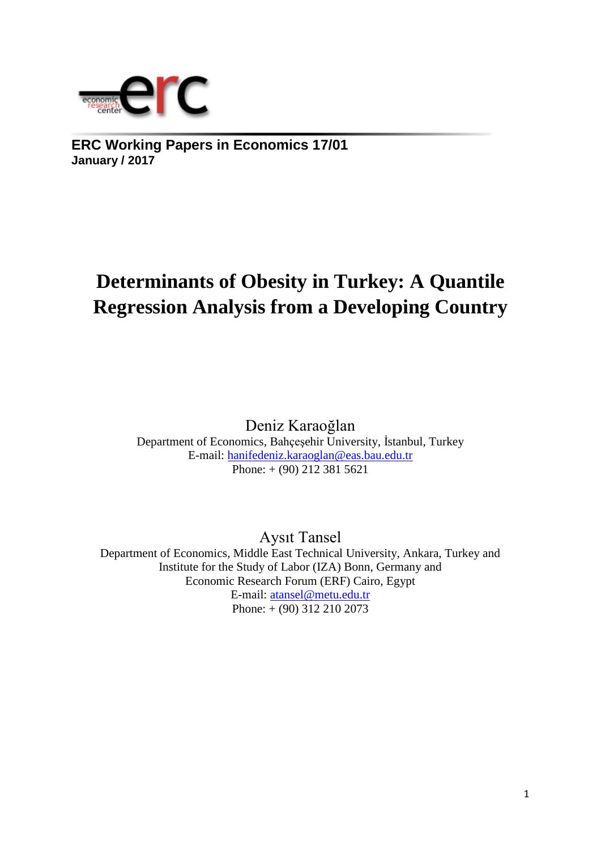

**ERC Working Papers in Economics 17/01 January / 2017**

# **Determinants of Obesity in Turkey: A Quantile Regression Analysis from a Developing Country**

Deniz Karaoğlan Department of Economics, Bahçeşehir University, İstanbul, Turkey E-mail: [hanifedeniz.karaoglan@eas.bau.edu.tr](mailto:hanifedeniz.karaoglan@eas.bau.edu.tr) Phone: + (90) 212 381 5621

Aysıt Tansel Department of Economics, Middle East Technical University, Ankara, Turkey and Institute for the Study of Labor (IZA) Bonn, Germany and Economic Research Forum (ERF) Cairo, Egypt E-mail: [atansel@metu.edu.tr](mailto:atansel@metu.edu.tr) Phone: + (90) 312 210 2073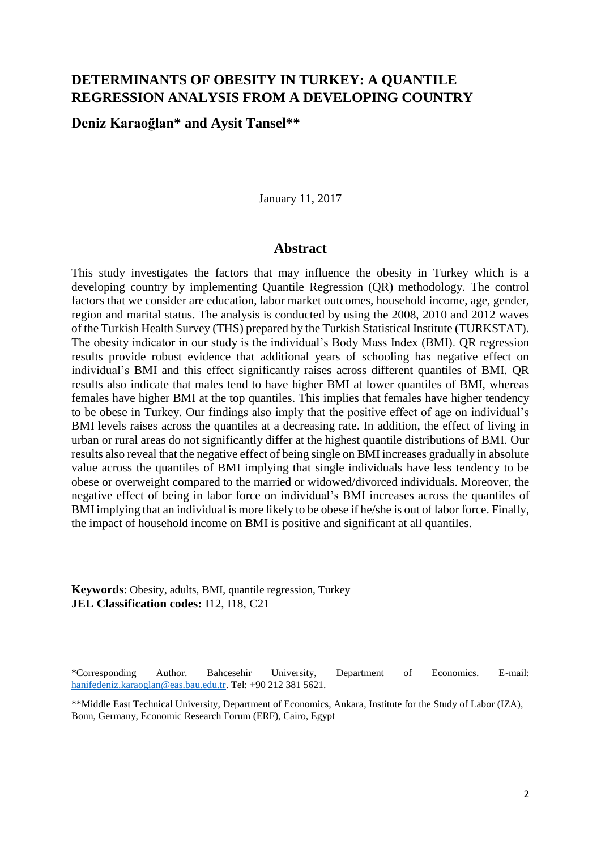# **DETERMINANTS OF OBESITY IN TURKEY: A QUANTILE REGRESSION ANALYSIS FROM A DEVELOPING COUNTRY**

**Deniz Karaoğlan\* and Aysit Tansel\*\***

January 11, 2017

#### **Abstract**

This study investigates the factors that may influence the obesity in Turkey which is a developing country by implementing Quantile Regression (QR) methodology. The control factors that we consider are education, labor market outcomes, household income, age, gender, region and marital status. The analysis is conducted by using the 2008, 2010 and 2012 waves of the Turkish Health Survey (THS) prepared by the Turkish Statistical Institute (TURKSTAT). The obesity indicator in our study is the individual's Body Mass Index (BMI). QR regression results provide robust evidence that additional years of schooling has negative effect on individual's BMI and this effect significantly raises across different quantiles of BMI. QR results also indicate that males tend to have higher BMI at lower quantiles of BMI, whereas females have higher BMI at the top quantiles. This implies that females have higher tendency to be obese in Turkey. Our findings also imply that the positive effect of age on individual's BMI levels raises across the quantiles at a decreasing rate. In addition, the effect of living in urban or rural areas do not significantly differ at the highest quantile distributions of BMI. Our results also reveal that the negative effect of being single on BMI increases gradually in absolute value across the quantiles of BMI implying that single individuals have less tendency to be obese or overweight compared to the married or widowed/divorced individuals. Moreover, the negative effect of being in labor force on individual's BMI increases across the quantiles of BMI implying that an individual is more likely to be obese if he/she is out of labor force. Finally, the impact of household income on BMI is positive and significant at all quantiles.

**Keywords**: Obesity, adults, BMI, quantile regression, Turkey **JEL Classification codes:** I12, I18, C21

\*Corresponding Author. Bahcesehir University, Department of Economics. E-mail: [hanifedeniz.karaoglan@eas.bau.edu.tr.](mailto:hanifedeniz.karaoglan@eas.bau.edu.tr) Tel: +90 212 381 5621.

\*\*Middle East Technical University, Department of Economics, Ankara, Institute for the Study of Labor (IZA), Bonn, Germany, Economic Research Forum (ERF), Cairo, Egypt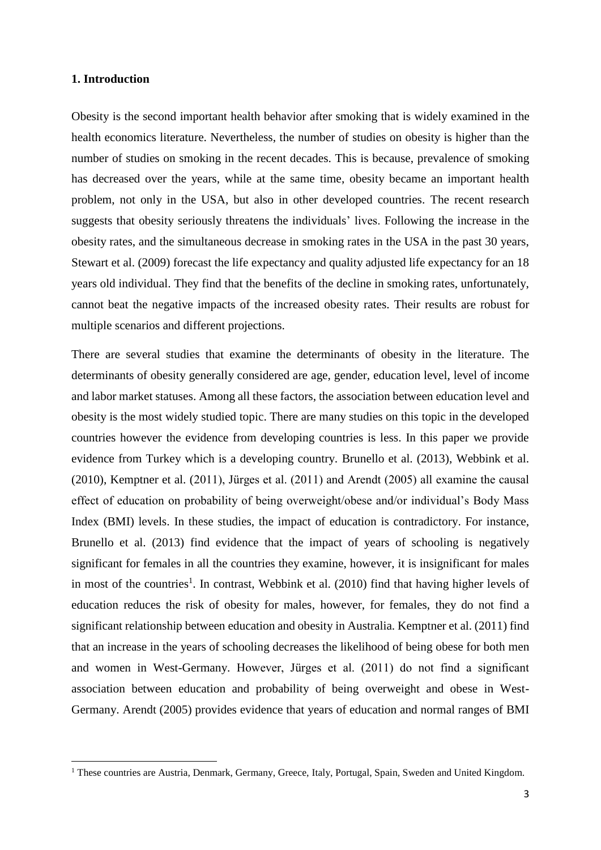## **1. Introduction**

**.** 

Obesity is the second important health behavior after smoking that is widely examined in the health economics literature. Nevertheless, the number of studies on obesity is higher than the number of studies on smoking in the recent decades. This is because, prevalence of smoking has decreased over the years, while at the same time, obesity became an important health problem, not only in the USA, but also in other developed countries. The recent research suggests that obesity seriously threatens the individuals' lives. Following the increase in the obesity rates, and the simultaneous decrease in smoking rates in the USA in the past 30 years, Stewart et al. (2009) forecast the life expectancy and quality adjusted life expectancy for an 18 years old individual. They find that the benefits of the decline in smoking rates, unfortunately, cannot beat the negative impacts of the increased obesity rates. Their results are robust for multiple scenarios and different projections.

There are several studies that examine the determinants of obesity in the literature. The determinants of obesity generally considered are age, gender, education level, level of income and labor market statuses. Among all these factors, the association between education level and obesity is the most widely studied topic. There are many studies on this topic in the developed countries however the evidence from developing countries is less. In this paper we provide evidence from Turkey which is a developing country. Brunello et al. (2013), Webbink et al. (2010), Kemptner et al. (2011), Jürges et al. (2011) and Arendt (2005) all examine the causal effect of education on probability of being overweight/obese and/or individual's Body Mass Index (BMI) levels. In these studies, the impact of education is contradictory. For instance, Brunello et al. (2013) find evidence that the impact of years of schooling is negatively significant for females in all the countries they examine, however, it is insignificant for males in most of the countries<sup>1</sup>. In contrast, Webbink et al. (2010) find that having higher levels of education reduces the risk of obesity for males, however, for females, they do not find a significant relationship between education and obesity in Australia. Kemptner et al. (2011) find that an increase in the years of schooling decreases the likelihood of being obese for both men and women in West-Germany. However, Jürges et al. (2011) do not find a significant association between education and probability of being overweight and obese in West-Germany. Arendt (2005) provides evidence that years of education and normal ranges of BMI

<sup>&</sup>lt;sup>1</sup> These countries are Austria, Denmark, Germany, Greece, Italy, Portugal, Spain, Sweden and United Kingdom.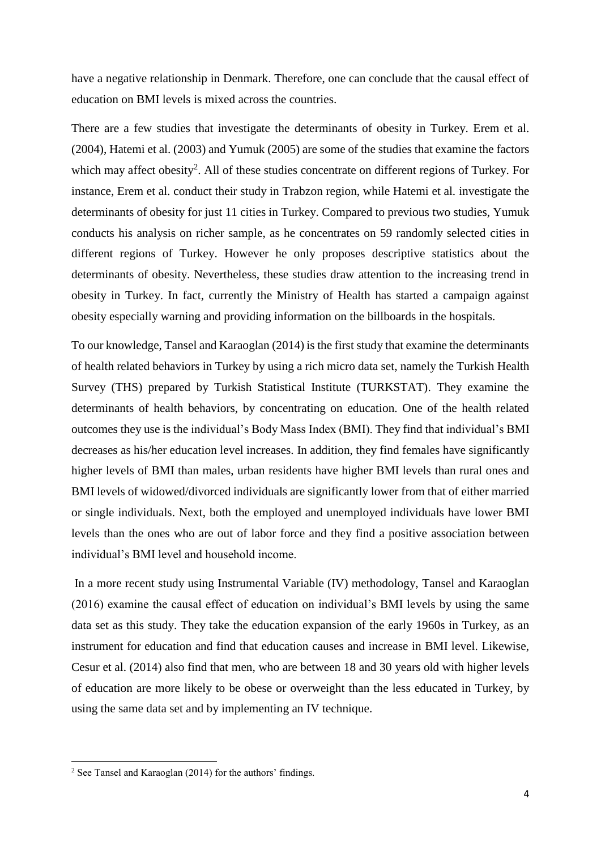have a negative relationship in Denmark. Therefore, one can conclude that the causal effect of education on BMI levels is mixed across the countries.

There are a few studies that investigate the determinants of obesity in Turkey. Erem et al. (2004), Hatemi et al. (2003) and Yumuk (2005) are some of the studies that examine the factors which may affect obesity<sup>2</sup>. All of these studies concentrate on different regions of Turkey. For instance, Erem et al. conduct their study in Trabzon region, while Hatemi et al. investigate the determinants of obesity for just 11 cities in Turkey. Compared to previous two studies, Yumuk conducts his analysis on richer sample, as he concentrates on 59 randomly selected cities in different regions of Turkey. However he only proposes descriptive statistics about the determinants of obesity. Nevertheless, these studies draw attention to the increasing trend in obesity in Turkey. In fact, currently the Ministry of Health has started a campaign against obesity especially warning and providing information on the billboards in the hospitals.

To our knowledge, Tansel and Karaoglan (2014) is the first study that examine the determinants of health related behaviors in Turkey by using a rich micro data set, namely the Turkish Health Survey (THS) prepared by Turkish Statistical Institute (TURKSTAT). They examine the determinants of health behaviors, by concentrating on education. One of the health related outcomes they use is the individual's Body Mass Index (BMI). They find that individual's BMI decreases as his/her education level increases. In addition, they find females have significantly higher levels of BMI than males, urban residents have higher BMI levels than rural ones and BMI levels of widowed/divorced individuals are significantly lower from that of either married or single individuals. Next, both the employed and unemployed individuals have lower BMI levels than the ones who are out of labor force and they find a positive association between individual's BMI level and household income.

In a more recent study using Instrumental Variable (IV) methodology, Tansel and Karaoglan (2016) examine the causal effect of education on individual's BMI levels by using the same data set as this study. They take the education expansion of the early 1960s in Turkey, as an instrument for education and find that education causes and increase in BMI level. Likewise, Cesur et al. (2014) also find that men, who are between 18 and 30 years old with higher levels of education are more likely to be obese or overweight than the less educated in Turkey, by using the same data set and by implementing an IV technique.

<sup>2</sup> See Tansel and Karaoglan (2014) for the authors' findings.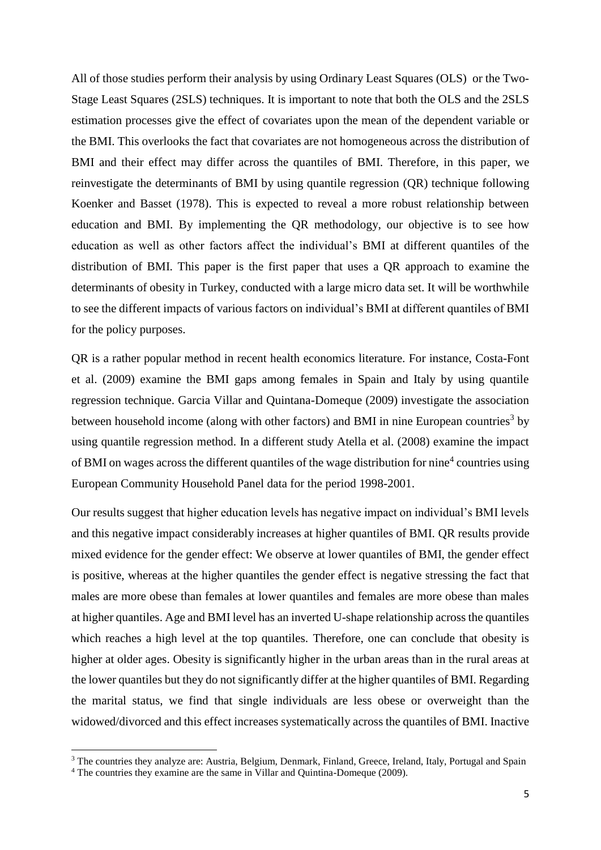All of those studies perform their analysis by using Ordinary Least Squares (OLS) or the Two-Stage Least Squares (2SLS) techniques. It is important to note that both the OLS and the 2SLS estimation processes give the effect of covariates upon the mean of the dependent variable or the BMI. This overlooks the fact that covariates are not homogeneous across the distribution of BMI and their effect may differ across the quantiles of BMI. Therefore, in this paper, we reinvestigate the determinants of BMI by using quantile regression (QR) technique following Koenker and Basset (1978). This is expected to reveal a more robust relationship between education and BMI. By implementing the QR methodology, our objective is to see how education as well as other factors affect the individual's BMI at different quantiles of the distribution of BMI. This paper is the first paper that uses a QR approach to examine the determinants of obesity in Turkey, conducted with a large micro data set. It will be worthwhile to see the different impacts of various factors on individual's BMI at different quantiles of BMI for the policy purposes.

QR is a rather popular method in recent health economics literature. For instance, Costa-Font et al. (2009) examine the BMI gaps among females in Spain and Italy by using quantile regression technique. Garcia Villar and Quintana-Domeque (2009) investigate the association between household income (along with other factors) and BMI in nine European countries<sup>3</sup> by using quantile regression method. In a different study Atella et al. (2008) examine the impact of BMI on wages across the different quantiles of the wage distribution for nine<sup>4</sup> countries using European Community Household Panel data for the period 1998-2001.

Our results suggest that higher education levels has negative impact on individual's BMI levels and this negative impact considerably increases at higher quantiles of BMI. QR results provide mixed evidence for the gender effect: We observe at lower quantiles of BMI, the gender effect is positive, whereas at the higher quantiles the gender effect is negative stressing the fact that males are more obese than females at lower quantiles and females are more obese than males at higher quantiles. Age and BMI level has an inverted U-shape relationship across the quantiles which reaches a high level at the top quantiles. Therefore, one can conclude that obesity is higher at older ages. Obesity is significantly higher in the urban areas than in the rural areas at the lower quantiles but they do not significantly differ at the higher quantiles of BMI. Regarding the marital status, we find that single individuals are less obese or overweight than the widowed/divorced and this effect increases systematically across the quantiles of BMI. Inactive

<sup>&</sup>lt;sup>3</sup> The countries they analyze are: Austria, Belgium, Denmark, Finland, Greece, Ireland, Italy, Portugal and Spain

<sup>&</sup>lt;sup>4</sup> The countries they examine are the same in Villar and Ouintina-Domeque (2009).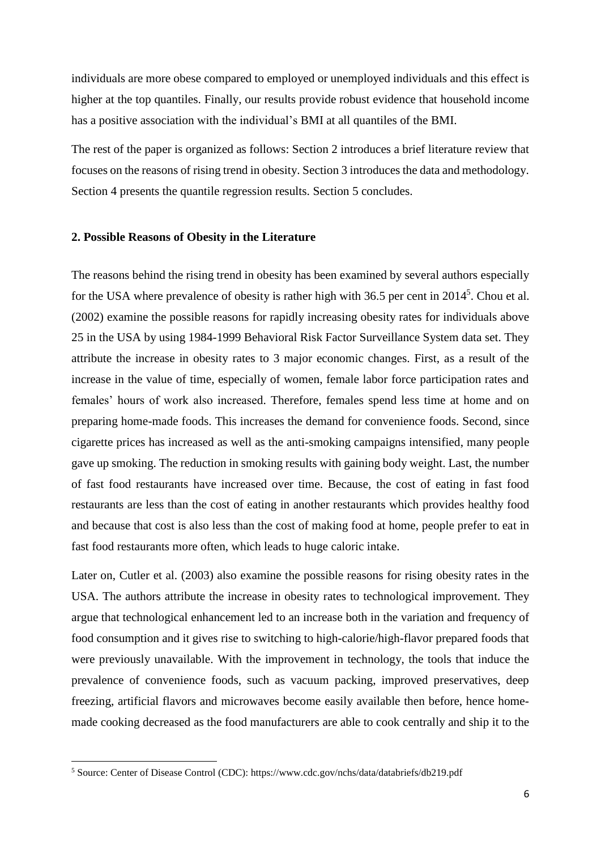individuals are more obese compared to employed or unemployed individuals and this effect is higher at the top quantiles. Finally, our results provide robust evidence that household income has a positive association with the individual's BMI at all quantiles of the BMI.

The rest of the paper is organized as follows: Section 2 introduces a brief literature review that focuses on the reasons of rising trend in obesity. Section 3 introduces the data and methodology. Section 4 presents the quantile regression results. Section 5 concludes.

#### **2. Possible Reasons of Obesity in the Literature**

The reasons behind the rising trend in obesity has been examined by several authors especially for the USA where prevalence of obesity is rather high with 36.5 per cent in 2014<sup>5</sup>. Chou et al. (2002) examine the possible reasons for rapidly increasing obesity rates for individuals above 25 in the USA by using 1984-1999 Behavioral Risk Factor Surveillance System data set. They attribute the increase in obesity rates to 3 major economic changes. First, as a result of the increase in the value of time, especially of women, female labor force participation rates and females' hours of work also increased. Therefore, females spend less time at home and on preparing home-made foods. This increases the demand for convenience foods. Second, since cigarette prices has increased as well as the anti-smoking campaigns intensified, many people gave up smoking. The reduction in smoking results with gaining body weight. Last, the number of fast food restaurants have increased over time. Because, the cost of eating in fast food restaurants are less than the cost of eating in another restaurants which provides healthy food and because that cost is also less than the cost of making food at home, people prefer to eat in fast food restaurants more often, which leads to huge caloric intake.

Later on, Cutler et al. (2003) also examine the possible reasons for rising obesity rates in the USA. The authors attribute the increase in obesity rates to technological improvement. They argue that technological enhancement led to an increase both in the variation and frequency of food consumption and it gives rise to switching to high-calorie/high-flavor prepared foods that were previously unavailable. With the improvement in technology, the tools that induce the prevalence of convenience foods, such as vacuum packing, improved preservatives, deep freezing, artificial flavors and microwaves become easily available then before, hence homemade cooking decreased as the food manufacturers are able to cook centrally and ship it to the

<sup>5</sup> Source: Center of Disease Control (CDC): https://www.cdc.gov/nchs/data/databriefs/db219.pdf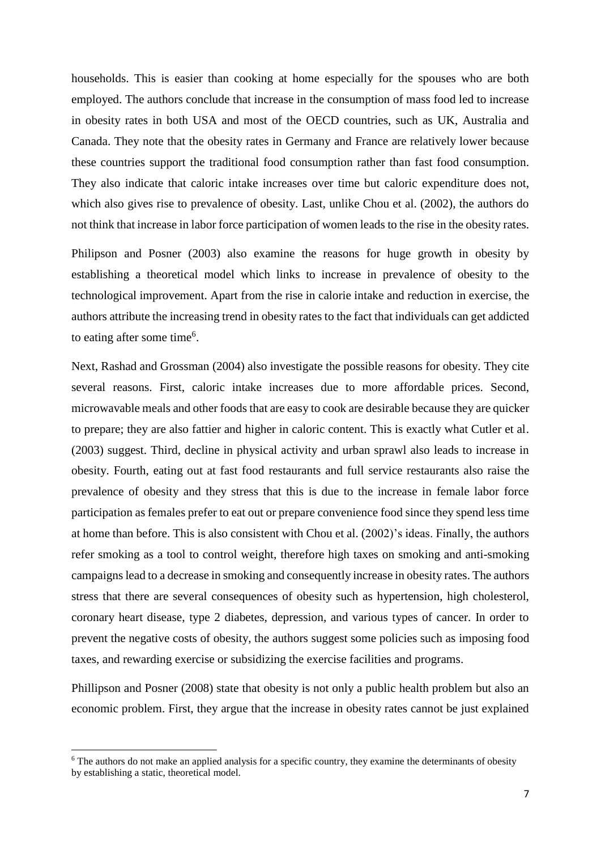households. This is easier than cooking at home especially for the spouses who are both employed. The authors conclude that increase in the consumption of mass food led to increase in obesity rates in both USA and most of the OECD countries, such as UK, Australia and Canada. They note that the obesity rates in Germany and France are relatively lower because these countries support the traditional food consumption rather than fast food consumption. They also indicate that caloric intake increases over time but caloric expenditure does not, which also gives rise to prevalence of obesity. Last, unlike Chou et al. (2002), the authors do not think that increase in labor force participation of women leads to the rise in the obesity rates.

Philipson and Posner (2003) also examine the reasons for huge growth in obesity by establishing a theoretical model which links to increase in prevalence of obesity to the technological improvement. Apart from the rise in calorie intake and reduction in exercise, the authors attribute the increasing trend in obesity rates to the fact that individuals can get addicted to eating after some time<sup>6</sup>.

Next, Rashad and Grossman (2004) also investigate the possible reasons for obesity. They cite several reasons. First, caloric intake increases due to more affordable prices. Second, microwavable meals and other foods that are easy to cook are desirable because they are quicker to prepare; they are also fattier and higher in caloric content. This is exactly what Cutler et al. (2003) suggest. Third, decline in physical activity and urban sprawl also leads to increase in obesity. Fourth, eating out at fast food restaurants and full service restaurants also raise the prevalence of obesity and they stress that this is due to the increase in female labor force participation as females prefer to eat out or prepare convenience food since they spend less time at home than before. This is also consistent with Chou et al. (2002)'s ideas. Finally, the authors refer smoking as a tool to control weight, therefore high taxes on smoking and anti-smoking campaigns lead to a decrease in smoking and consequently increase in obesity rates. The authors stress that there are several consequences of obesity such as hypertension, high cholesterol, coronary heart disease, type 2 diabetes, depression, and various types of cancer. In order to prevent the negative costs of obesity, the authors suggest some policies such as imposing food taxes, and rewarding exercise or subsidizing the exercise facilities and programs.

Phillipson and Posner (2008) state that obesity is not only a public health problem but also an economic problem. First, they argue that the increase in obesity rates cannot be just explained

<sup>&</sup>lt;sup>6</sup> The authors do not make an applied analysis for a specific country, they examine the determinants of obesity by establishing a static, theoretical model.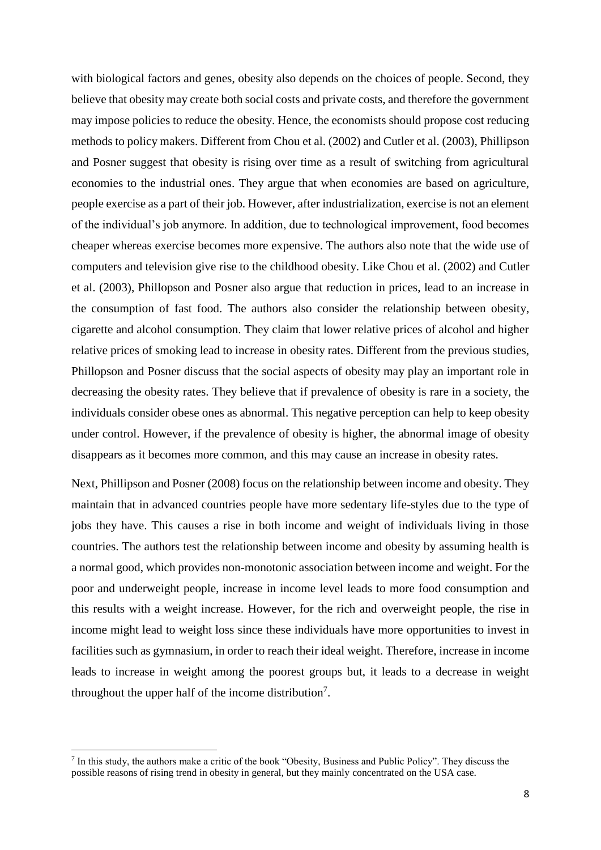with biological factors and genes, obesity also depends on the choices of people. Second, they believe that obesity may create both social costs and private costs, and therefore the government may impose policies to reduce the obesity. Hence, the economists should propose cost reducing methods to policy makers. Different from Chou et al. (2002) and Cutler et al. (2003), Phillipson and Posner suggest that obesity is rising over time as a result of switching from agricultural economies to the industrial ones. They argue that when economies are based on agriculture, people exercise as a part of their job. However, after industrialization, exercise is not an element of the individual's job anymore. In addition, due to technological improvement, food becomes cheaper whereas exercise becomes more expensive. The authors also note that the wide use of computers and television give rise to the childhood obesity. Like Chou et al. (2002) and Cutler et al. (2003), Phillopson and Posner also argue that reduction in prices, lead to an increase in the consumption of fast food. The authors also consider the relationship between obesity, cigarette and alcohol consumption. They claim that lower relative prices of alcohol and higher relative prices of smoking lead to increase in obesity rates. Different from the previous studies, Phillopson and Posner discuss that the social aspects of obesity may play an important role in decreasing the obesity rates. They believe that if prevalence of obesity is rare in a society, the individuals consider obese ones as abnormal. This negative perception can help to keep obesity under control. However, if the prevalence of obesity is higher, the abnormal image of obesity disappears as it becomes more common, and this may cause an increase in obesity rates.

Next, Phillipson and Posner (2008) focus on the relationship between income and obesity. They maintain that in advanced countries people have more sedentary life-styles due to the type of jobs they have. This causes a rise in both income and weight of individuals living in those countries. The authors test the relationship between income and obesity by assuming health is a normal good, which provides non-monotonic association between income and weight. For the poor and underweight people, increase in income level leads to more food consumption and this results with a weight increase. However, for the rich and overweight people, the rise in income might lead to weight loss since these individuals have more opportunities to invest in facilities such as gymnasium, in order to reach their ideal weight. Therefore, increase in income leads to increase in weight among the poorest groups but, it leads to a decrease in weight throughout the upper half of the income distribution<sup>7</sup>.

<sup>&</sup>lt;sup>7</sup> In this study, the authors make a critic of the book "Obesity, Business and Public Policy". They discuss the possible reasons of rising trend in obesity in general, but they mainly concentrated on the USA case.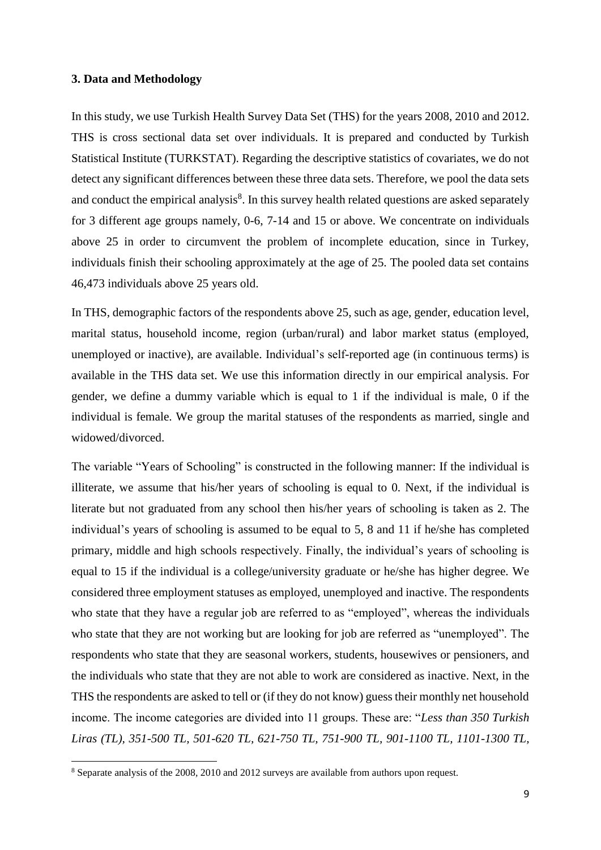## **3. Data and Methodology**

In this study, we use Turkish Health Survey Data Set (THS) for the years 2008, 2010 and 2012. THS is cross sectional data set over individuals. It is prepared and conducted by Turkish Statistical Institute (TURKSTAT). Regarding the descriptive statistics of covariates, we do not detect any significant differences between these three data sets. Therefore, we pool the data sets and conduct the empirical analysis<sup>8</sup>. In this survey health related questions are asked separately for 3 different age groups namely, 0-6, 7-14 and 15 or above. We concentrate on individuals above 25 in order to circumvent the problem of incomplete education, since in Turkey, individuals finish their schooling approximately at the age of 25. The pooled data set contains 46,473 individuals above 25 years old.

In THS, demographic factors of the respondents above 25, such as age, gender, education level, marital status, household income, region (urban/rural) and labor market status (employed, unemployed or inactive), are available. Individual's self-reported age (in continuous terms) is available in the THS data set. We use this information directly in our empirical analysis. For gender, we define a dummy variable which is equal to 1 if the individual is male, 0 if the individual is female. We group the marital statuses of the respondents as married, single and widowed/divorced.

The variable "Years of Schooling" is constructed in the following manner: If the individual is illiterate, we assume that his/her years of schooling is equal to 0. Next, if the individual is literate but not graduated from any school then his/her years of schooling is taken as 2. The individual's years of schooling is assumed to be equal to 5, 8 and 11 if he/she has completed primary, middle and high schools respectively. Finally, the individual's years of schooling is equal to 15 if the individual is a college/university graduate or he/she has higher degree. We considered three employment statuses as employed, unemployed and inactive. The respondents who state that they have a regular job are referred to as "employed", whereas the individuals who state that they are not working but are looking for job are referred as "unemployed". The respondents who state that they are seasonal workers, students, housewives or pensioners, and the individuals who state that they are not able to work are considered as inactive. Next, in the THS the respondents are asked to tell or (if they do not know) guess their monthly net household income. The income categories are divided into 11 groups. These are: "*Less than 350 Turkish Liras (TL), 351-500 TL, 501-620 TL, 621-750 TL, 751-900 TL, 901-1100 TL, 1101-1300 TL,* 

<sup>8</sup> Separate analysis of the 2008, 2010 and 2012 surveys are available from authors upon request.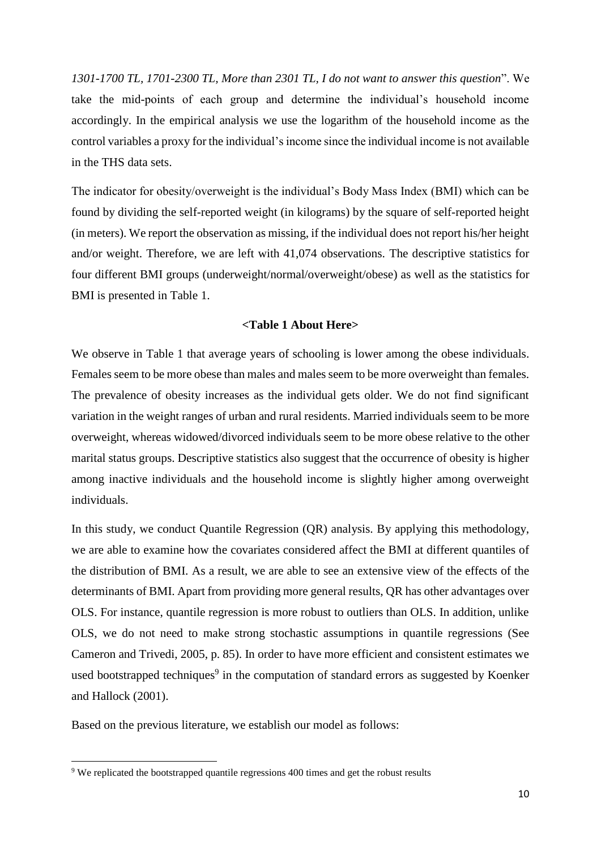*1301-1700 TL, 1701-2300 TL, More than 2301 TL, I do not want to answer this question*". We take the mid-points of each group and determine the individual's household income accordingly. In the empirical analysis we use the logarithm of the household income as the control variables a proxy for the individual's income since the individual income is not available in the THS data sets.

The indicator for obesity/overweight is the individual's Body Mass Index (BMI) which can be found by dividing the self-reported weight (in kilograms) by the square of self-reported height (in meters). We report the observation as missing, if the individual does not report his/her height and/or weight. Therefore, we are left with 41,074 observations. The descriptive statistics for four different BMI groups (underweight/normal/overweight/obese) as well as the statistics for BMI is presented in Table 1.

## **<Table 1 About Here>**

We observe in Table 1 that average years of schooling is lower among the obese individuals. Females seem to be more obese than males and males seem to be more overweight than females. The prevalence of obesity increases as the individual gets older. We do not find significant variation in the weight ranges of urban and rural residents. Married individuals seem to be more overweight, whereas widowed/divorced individuals seem to be more obese relative to the other marital status groups. Descriptive statistics also suggest that the occurrence of obesity is higher among inactive individuals and the household income is slightly higher among overweight individuals.

In this study, we conduct Quantile Regression (QR) analysis. By applying this methodology, we are able to examine how the covariates considered affect the BMI at different quantiles of the distribution of BMI. As a result, we are able to see an extensive view of the effects of the determinants of BMI. Apart from providing more general results, QR has other advantages over OLS. For instance, quantile regression is more robust to outliers than OLS. In addition, unlike OLS, we do not need to make strong stochastic assumptions in quantile regressions (See Cameron and Trivedi, 2005, p. 85). In order to have more efficient and consistent estimates we used bootstrapped techniques<sup>9</sup> in the computation of standard errors as suggested by Koenker and Hallock (2001).

Based on the previous literature, we establish our model as follows:

<sup>&</sup>lt;sup>9</sup> We replicated the bootstrapped quantile regressions 400 times and get the robust results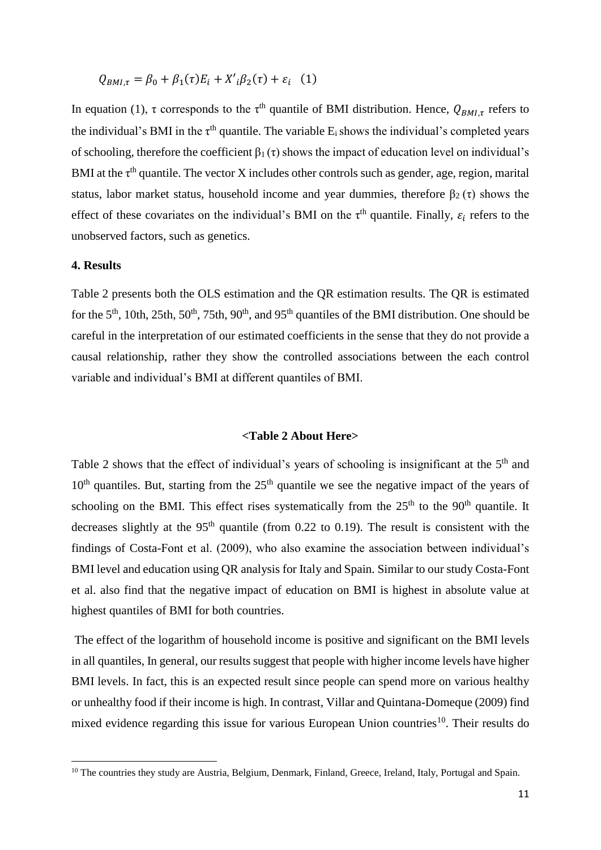$$
Q_{BMI,\tau} = \beta_0 + \beta_1(\tau)E_i + X_i'\beta_2(\tau) + \varepsilon_i \quad (1)
$$

In equation (1),  $\tau$  corresponds to the  $\tau^{th}$  quantile of BMI distribution. Hence,  $Q_{BMI,\tau}$  refers to the individual's BMI in the  $\tau^{th}$  quantile. The variable  $E_i$  shows the individual's completed years of schooling, therefore the coefficient  $\beta_1(\tau)$  shows the impact of education level on individual's BMI at the  $\tau^{th}$  quantile. The vector X includes other controls such as gender, age, region, marital status, labor market status, household income and year dummies, therefore  $\beta_2(\tau)$  shows the effect of these covariates on the individual's BMI on the  $\tau^{th}$  quantile. Finally,  $\varepsilon_i$  refers to the unobserved factors, such as genetics.

## **4. Results**

**.** 

Table 2 presents both the OLS estimation and the QR estimation results. The QR is estimated for the  $5<sup>th</sup>$ , 10th, 25th, 50<sup>th</sup>, 75th, 90<sup>th</sup>, and 95<sup>th</sup> quantiles of the BMI distribution. One should be careful in the interpretation of our estimated coefficients in the sense that they do not provide a causal relationship, rather they show the controlled associations between the each control variable and individual's BMI at different quantiles of BMI.

## **<Table 2 About Here>**

Table 2 shows that the effect of individual's years of schooling is insignificant at the  $5<sup>th</sup>$  and  $10<sup>th</sup>$  quantiles. But, starting from the  $25<sup>th</sup>$  quantile we see the negative impact of the years of schooling on the BMI. This effect rises systematically from the  $25<sup>th</sup>$  to the  $90<sup>th</sup>$  quantile. It decreases slightly at the  $95<sup>th</sup>$  quantile (from 0.22 to 0.19). The result is consistent with the findings of Costa-Font et al. (2009), who also examine the association between individual's BMI level and education using QR analysis for Italy and Spain. Similar to our study Costa-Font et al. also find that the negative impact of education on BMI is highest in absolute value at highest quantiles of BMI for both countries.

The effect of the logarithm of household income is positive and significant on the BMI levels in all quantiles, In general, our results suggest that people with higher income levels have higher BMI levels. In fact, this is an expected result since people can spend more on various healthy or unhealthy food if their income is high. In contrast, Villar and Quintana-Domeque (2009) find mixed evidence regarding this issue for various European Union countries<sup>10</sup>. Their results do

 $10$  The countries they study are Austria, Belgium, Denmark, Finland, Greece, Ireland, Italy, Portugal and Spain.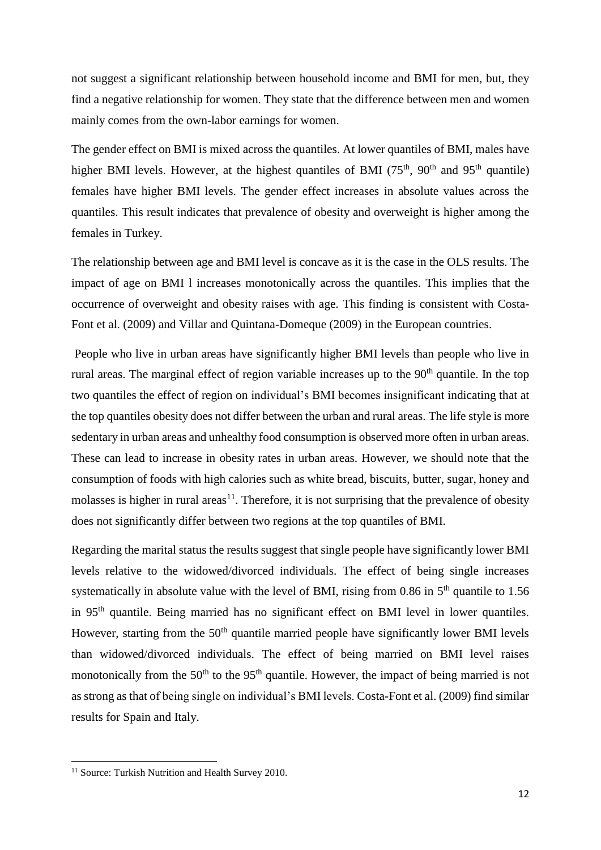not suggest a significant relationship between household income and BMI for men, but, they find a negative relationship for women. They state that the difference between men and women mainly comes from the own-labor earnings for women.

The gender effect on BMI is mixed across the quantiles. At lower quantiles of BMI, males have higher BMI levels. However, at the highest quantiles of BMI ( $75<sup>th</sup>$ ,  $90<sup>th</sup>$  and  $95<sup>th</sup>$  quantile) females have higher BMI levels. The gender effect increases in absolute values across the quantiles. This result indicates that prevalence of obesity and overweight is higher among the females in Turkey.

The relationship between age and BMI level is concave as it is the case in the OLS results. The impact of age on BMI l increases monotonically across the quantiles. This implies that the occurrence of overweight and obesity raises with age. This finding is consistent with Costa-Font et al. (2009) and Villar and Quintana-Domeque (2009) in the European countries.

People who live in urban areas have significantly higher BMI levels than people who live in rural areas. The marginal effect of region variable increases up to the  $90<sup>th</sup>$  quantile. In the top two quantiles the effect of region on individual's BMI becomes insignificant indicating that at the top quantiles obesity does not differ between the urban and rural areas. The life style is more sedentary in urban areas and unhealthy food consumption is observed more often in urban areas. These can lead to increase in obesity rates in urban areas. However, we should note that the consumption of foods with high calories such as white bread, biscuits, butter, sugar, honey and molasses is higher in rural areas<sup>11</sup>. Therefore, it is not surprising that the prevalence of obesity does not significantly differ between two regions at the top quantiles of BMI.

Regarding the marital status the results suggest that single people have significantly lower BMI levels relative to the widowed/divorced individuals. The effect of being single increases systematically in absolute value with the level of BMI, rising from 0.86 in  $5<sup>th</sup>$  quantile to 1.56 in 95<sup>th</sup> quantile. Being married has no significant effect on BMI level in lower quantiles. However, starting from the  $50<sup>th</sup>$  quantile married people have significantly lower BMI levels than widowed/divorced individuals. The effect of being married on BMI level raises monotonically from the  $50<sup>th</sup>$  to the 95<sup>th</sup> quantile. However, the impact of being married is not as strong as that of being single on individual's BMI levels. Costa-Font et al. (2009) find similar results for Spain and Italy.

<sup>&</sup>lt;sup>11</sup> Source: Turkish Nutrition and Health Survey 2010.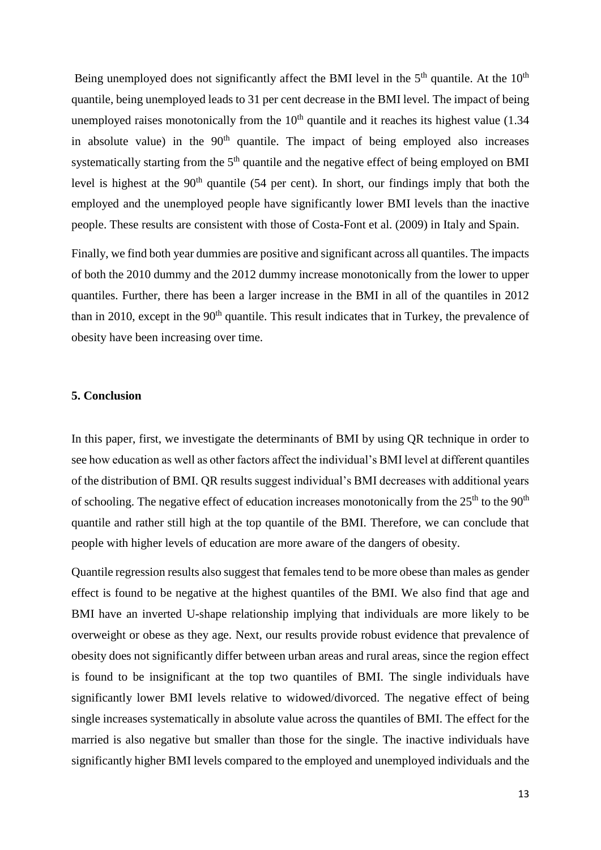Being unemployed does not significantly affect the BMI level in the  $5<sup>th</sup>$  quantile. At the  $10<sup>th</sup>$ quantile, being unemployed leads to 31 per cent decrease in the BMI level. The impact of being unemployed raises monotonically from the  $10<sup>th</sup>$  quantile and it reaches its highest value (1.34) in absolute value) in the  $90<sup>th</sup>$  quantile. The impact of being employed also increases systematically starting from the  $5<sup>th</sup>$  quantile and the negative effect of being employed on BMI level is highest at the  $90<sup>th</sup>$  quantile (54 per cent). In short, our findings imply that both the employed and the unemployed people have significantly lower BMI levels than the inactive people. These results are consistent with those of Costa-Font et al. (2009) in Italy and Spain.

Finally, we find both year dummies are positive and significant across all quantiles. The impacts of both the 2010 dummy and the 2012 dummy increase monotonically from the lower to upper quantiles. Further, there has been a larger increase in the BMI in all of the quantiles in 2012 than in 2010, except in the  $90<sup>th</sup>$  quantile. This result indicates that in Turkey, the prevalence of obesity have been increasing over time.

#### **5. Conclusion**

In this paper, first, we investigate the determinants of BMI by using QR technique in order to see how education as well as other factors affect the individual's BMI level at different quantiles of the distribution of BMI. QR results suggest individual's BMI decreases with additional years of schooling. The negative effect of education increases monotonically from the  $25<sup>th</sup>$  to the  $90<sup>th</sup>$ quantile and rather still high at the top quantile of the BMI. Therefore, we can conclude that people with higher levels of education are more aware of the dangers of obesity.

Quantile regression results also suggest that females tend to be more obese than males as gender effect is found to be negative at the highest quantiles of the BMI. We also find that age and BMI have an inverted U-shape relationship implying that individuals are more likely to be overweight or obese as they age. Next, our results provide robust evidence that prevalence of obesity does not significantly differ between urban areas and rural areas, since the region effect is found to be insignificant at the top two quantiles of BMI. The single individuals have significantly lower BMI levels relative to widowed/divorced. The negative effect of being single increases systematically in absolute value across the quantiles of BMI. The effect for the married is also negative but smaller than those for the single. The inactive individuals have significantly higher BMI levels compared to the employed and unemployed individuals and the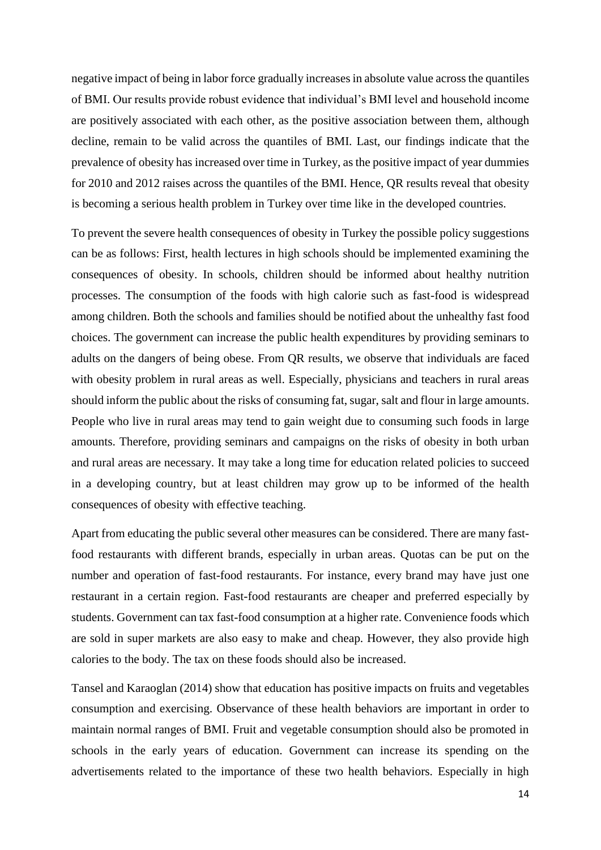negative impact of being in labor force gradually increases in absolute value across the quantiles of BMI. Our results provide robust evidence that individual's BMI level and household income are positively associated with each other, as the positive association between them, although decline, remain to be valid across the quantiles of BMI. Last, our findings indicate that the prevalence of obesity has increased over time in Turkey, as the positive impact of year dummies for 2010 and 2012 raises across the quantiles of the BMI. Hence, QR results reveal that obesity is becoming a serious health problem in Turkey over time like in the developed countries.

To prevent the severe health consequences of obesity in Turkey the possible policy suggestions can be as follows: First, health lectures in high schools should be implemented examining the consequences of obesity. In schools, children should be informed about healthy nutrition processes. The consumption of the foods with high calorie such as fast-food is widespread among children. Both the schools and families should be notified about the unhealthy fast food choices. The government can increase the public health expenditures by providing seminars to adults on the dangers of being obese. From QR results, we observe that individuals are faced with obesity problem in rural areas as well. Especially, physicians and teachers in rural areas should inform the public about the risks of consuming fat, sugar, salt and flour in large amounts. People who live in rural areas may tend to gain weight due to consuming such foods in large amounts. Therefore, providing seminars and campaigns on the risks of obesity in both urban and rural areas are necessary. It may take a long time for education related policies to succeed in a developing country, but at least children may grow up to be informed of the health consequences of obesity with effective teaching.

Apart from educating the public several other measures can be considered. There are many fastfood restaurants with different brands, especially in urban areas. Quotas can be put on the number and operation of fast-food restaurants. For instance, every brand may have just one restaurant in a certain region. Fast-food restaurants are cheaper and preferred especially by students. Government can tax fast-food consumption at a higher rate. Convenience foods which are sold in super markets are also easy to make and cheap. However, they also provide high calories to the body. The tax on these foods should also be increased.

Tansel and Karaoglan (2014) show that education has positive impacts on fruits and vegetables consumption and exercising. Observance of these health behaviors are important in order to maintain normal ranges of BMI. Fruit and vegetable consumption should also be promoted in schools in the early years of education. Government can increase its spending on the advertisements related to the importance of these two health behaviors. Especially in high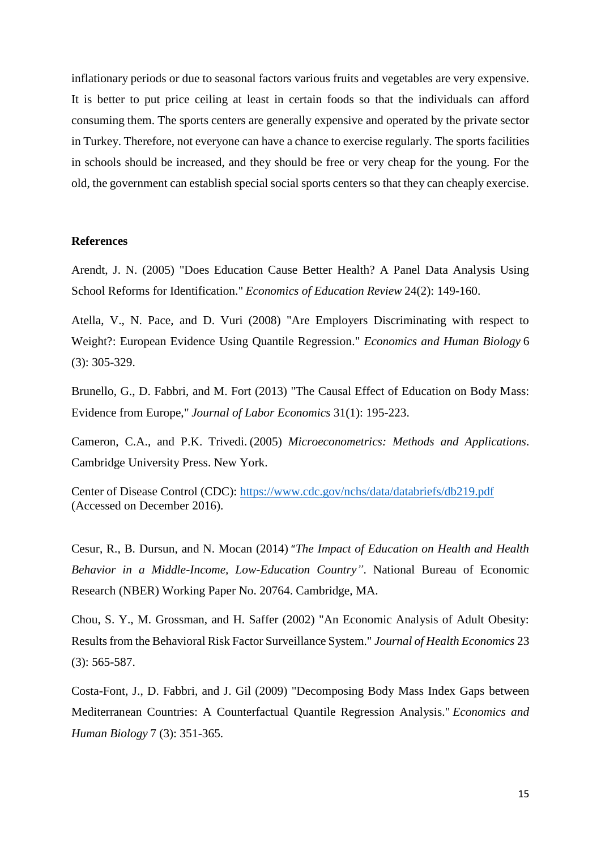inflationary periods or due to seasonal factors various fruits and vegetables are very expensive. It is better to put price ceiling at least in certain foods so that the individuals can afford consuming them. The sports centers are generally expensive and operated by the private sector in Turkey. Therefore, not everyone can have a chance to exercise regularly. The sports facilities in schools should be increased, and they should be free or very cheap for the young. For the old, the government can establish special social sports centers so that they can cheaply exercise.

#### **References**

Arendt, J. N. (2005) "Does Education Cause Better Health? A Panel Data Analysis Using School Reforms for Identification." *Economics of Education Review* 24(2): 149-160.

Atella, V., N. Pace, and D. Vuri (2008) "Are Employers Discriminating with respect to Weight?: European Evidence Using Quantile Regression." *Economics and Human Biology* 6 (3): 305-329.

Brunello, G., D. Fabbri, and M. Fort (2013) "The Causal Effect of Education on Body Mass: Evidence from Europe," *Journal of Labor Economics* 31(1): 195-223.

Cameron, C.A., and P.K. Trivedi. (2005) *Microeconometrics: Methods and Applications*. Cambridge University Press. New York.

Center of Disease Control (CDC):<https://www.cdc.gov/nchs/data/databriefs/db219.pdf> (Accessed on December 2016).

Cesur, R., B. Dursun, and N. Mocan (2014) "*The Impact of Education on Health and Health Behavior in a Middle-Income, Low-Education Country"*. National Bureau of Economic Research (NBER) Working Paper No. 20764. Cambridge, MA.

Chou, S. Y., M. Grossman, and H. Saffer (2002) "An Economic Analysis of Adult Obesity: Results from the Behavioral Risk Factor Surveillance System." *Journal of Health Economics* 23 (3): 565-587.

Costa-Font, J., D. Fabbri, and J. Gil (2009) "Decomposing Body Mass Index Gaps between Mediterranean Countries: A Counterfactual Quantile Regression Analysis." *Economics and Human Biology* 7 (3): 351-365.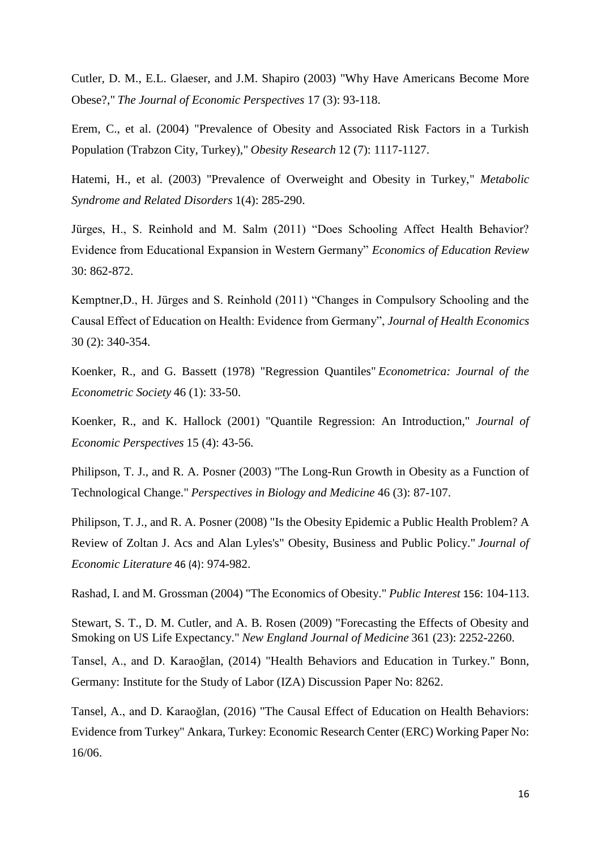Cutler, D. M., E.L. Glaeser, and J.M. Shapiro (2003) "Why Have Americans Become More Obese?," *The Journal of Economic Perspectives* 17 (3): 93-118.

Erem, C., et al. (2004) "Prevalence of Obesity and Associated Risk Factors in a Turkish Population (Trabzon City, Turkey)," *Obesity Research* 12 (7): 1117-1127.

Hatemi, H., et al. (2003) "Prevalence of Overweight and Obesity in Turkey," *Metabolic Syndrome and Related Disorders* 1(4): 285-290.

Jürges, H., S. Reinhold and M. Salm (2011) "Does Schooling Affect Health Behavior? Evidence from Educational Expansion in Western Germany" *Economics of Education Review* 30: 862-872.

Kemptner,D., H. Jürges and S. Reinhold (2011) "Changes in Compulsory Schooling and the Causal Effect of Education on Health: Evidence from Germany", *Journal of Health Economics* 30 (2): 340-354.

Koenker, R., and G. Bassett (1978) "Regression Quantiles" *Econometrica: Journal of the Econometric Society* 46 (1): 33-50.

Koenker, R., and K. Hallock (2001) "Quantile Regression: An Introduction," *Journal of Economic Perspectives* 15 (4): 43-56.

Philipson, T. J., and R. A. Posner (2003) "The Long-Run Growth in Obesity as a Function of Technological Change." *Perspectives in Biology and Medicine* 46 (3): 87-107.

Philipson, T. J., and R. A. Posner (2008) "Is the Obesity Epidemic a Public Health Problem? A Review of Zoltan J. Acs and Alan Lyles's" Obesity, Business and Public Policy." *Journal of Economic Literature* 46 (4): 974-982.

Rashad, I. and M. Grossman (2004) "The Economics of Obesity." *Public Interest* 156: 104-113.

Stewart, S. T., D. M. Cutler, and A. B. Rosen (2009) "Forecasting the Effects of Obesity and Smoking on US Life Expectancy." *New England Journal of Medicine* 361 (23): 2252-2260.

Tansel, A., and D. Karaoğlan, (2014) "Health Behaviors and Education in Turkey." Bonn, Germany: Institute for the Study of Labor (IZA) Discussion Paper No: 8262.

Tansel, A., and D. Karaoğlan, (2016) "The Causal Effect of Education on Health Behaviors: Evidence from Turkey" Ankara, Turkey: Economic Research Center (ERC) Working Paper No: 16/06.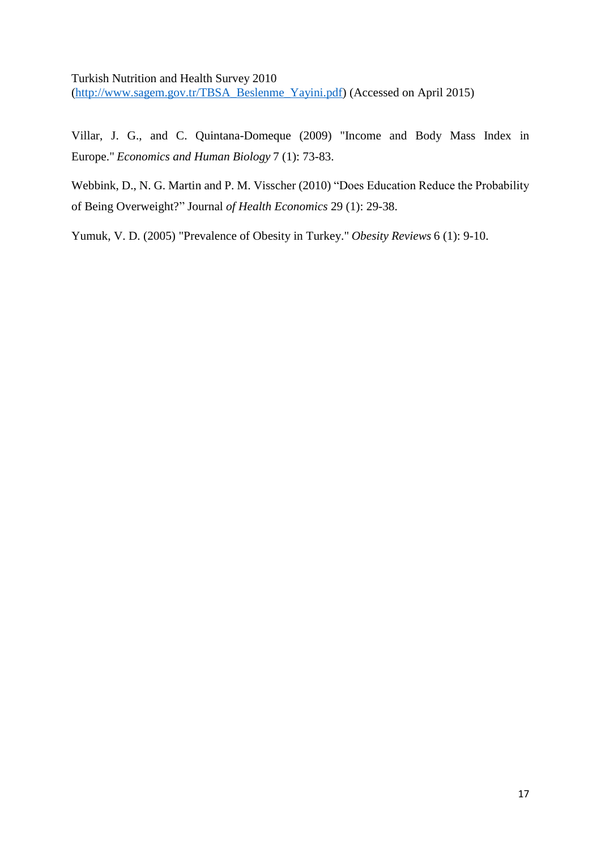Turkish Nutrition and Health Survey 2010 [\(http://www.sagem.gov.tr/TBSA\\_Beslenme\\_Yayini.pdf\)](http://www.sagem.gov.tr/TBSA_Beslenme_Yayini.pdf) (Accessed on April 2015)

Villar, J. G., and C. Quintana-Domeque (2009) "Income and Body Mass Index in Europe." *Economics and Human Biology* 7 (1): 73-83.

Webbink, D., N. G. Martin and P. M. Visscher (2010) "Does Education Reduce the Probability of Being Overweight?" Journal *of Health Economics* 29 (1): 29-38.

Yumuk, V. D. (2005) "Prevalence of Obesity in Turkey." *Obesity Reviews* 6 (1): 9-10.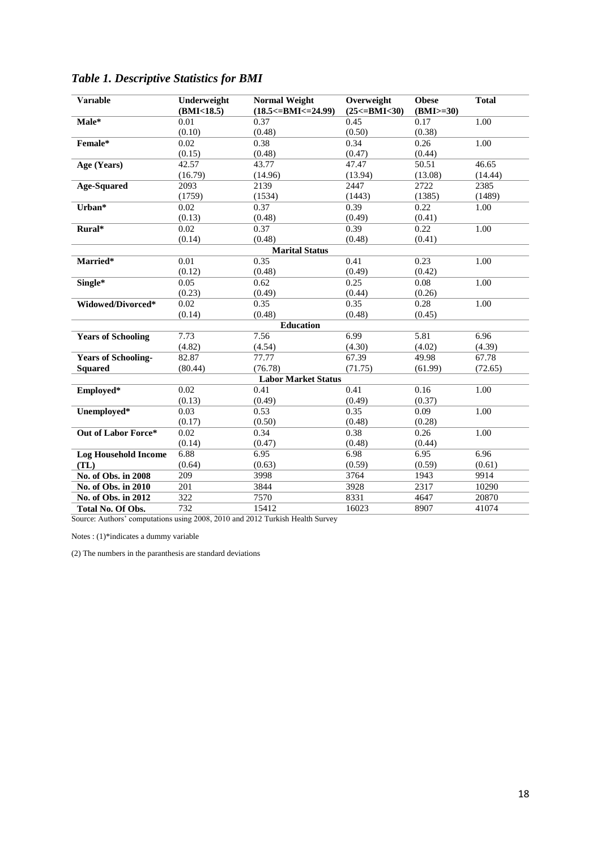| Variable                    | Underweight<br>(BMI < 18.5) | <b>Normal Weight</b><br>$(18.5 < = BMI < 24.99)$ | Overweight<br>$(25 < = BMI < 30)$ | <b>Obese</b><br>$(BMI>=30)$ | <b>Total</b> |  |  |  |  |  |
|-----------------------------|-----------------------------|--------------------------------------------------|-----------------------------------|-----------------------------|--------------|--|--|--|--|--|
| Male*                       | 0.01                        | 0.37                                             | 0.45                              | 0.17                        | 1.00         |  |  |  |  |  |
|                             | (0.10)                      | (0.48)                                           | (0.50)                            | (0.38)                      |              |  |  |  |  |  |
| Female*                     | 0.02                        | 0.38                                             | 0.34                              | 0.26                        | 1.00         |  |  |  |  |  |
|                             | (0.15)                      | (0.48)                                           | (0.47)                            | (0.44)                      |              |  |  |  |  |  |
| Age (Years)                 | 42.57                       | 43.77                                            | 47.47                             | 50.51                       | 46.65        |  |  |  |  |  |
|                             | (16.79)                     | (14.96)                                          | (13.94)                           | (13.08)                     | (14.44)      |  |  |  |  |  |
| <b>Age-Squared</b>          | 2093                        | 2139                                             | 2447                              | 2722                        | 2385         |  |  |  |  |  |
|                             | (1759)                      | (1534)                                           | (1443)                            | (1385)                      | (1489)       |  |  |  |  |  |
| Urban*                      | 0.02                        | 0.37                                             | 0.39                              | 0.22                        | 1.00         |  |  |  |  |  |
|                             | (0.13)                      | (0.48)                                           | (0.49)                            | (0.41)                      |              |  |  |  |  |  |
| Rural*                      | 0.02                        | 0.37                                             | 0.39                              | 0.22                        | 1.00         |  |  |  |  |  |
|                             | (0.14)                      | (0.48)                                           | (0.48)                            | (0.41)                      |              |  |  |  |  |  |
| <b>Marital Status</b>       |                             |                                                  |                                   |                             |              |  |  |  |  |  |
| Married*                    | 0.01                        | 0.35                                             | 0.41                              | 0.23                        | 1.00         |  |  |  |  |  |
|                             | (0.12)                      | (0.48)                                           | (0.49)                            | (0.42)                      |              |  |  |  |  |  |
| Single*                     | 0.05                        | 0.62                                             | 0.25                              | 0.08                        | 1.00         |  |  |  |  |  |
|                             | (0.23)                      | (0.49)                                           | (0.44)                            | (0.26)                      |              |  |  |  |  |  |
| Widowed/Divorced*           | 0.02                        | 0.35                                             | 0.35                              | 0.28                        | 1.00         |  |  |  |  |  |
|                             | (0.14)                      | (0.48)                                           | (0.48)                            | (0.45)                      |              |  |  |  |  |  |
|                             |                             | <b>Education</b>                                 |                                   |                             |              |  |  |  |  |  |
| <b>Years of Schooling</b>   | 7.73                        | 7.56                                             | 6.99                              | 5.81                        | 6.96         |  |  |  |  |  |
|                             | (4.82)                      | (4.54)                                           | (4.30)                            | (4.02)                      | (4.39)       |  |  |  |  |  |
| <b>Years of Schooling-</b>  | 82.87                       | 77.77                                            | 67.39                             | 49.98                       | 67.78        |  |  |  |  |  |
| <b>Squared</b>              | (80.44)                     | (76.78)                                          | (71.75)                           | (61.99)                     | (72.65)      |  |  |  |  |  |
|                             |                             | <b>Labor Market Status</b>                       |                                   |                             |              |  |  |  |  |  |
| Employed*                   | 0.02                        | 0.41                                             | 0.41                              | 0.16                        | 1.00         |  |  |  |  |  |
|                             | (0.13)                      | (0.49)                                           | (0.49)                            | (0.37)                      |              |  |  |  |  |  |
| Unemployed*                 | 0.03                        | 0.53                                             | 0.35                              | 0.09                        | 1.00         |  |  |  |  |  |
|                             | (0.17)                      | (0.50)                                           | (0.48)                            | (0.28)                      |              |  |  |  |  |  |
| <b>Out of Labor Force*</b>  | 0.02                        | 0.34                                             | 0.38                              | 0.26                        | 1.00         |  |  |  |  |  |
|                             | (0.14)                      | (0.47)                                           | (0.48)                            | (0.44)                      |              |  |  |  |  |  |
| <b>Log Household Income</b> | 6.88                        | 6.95                                             | 6.98                              | 6.95                        | 6.96         |  |  |  |  |  |
| (TL)                        | (0.64)                      | (0.63)                                           | (0.59)                            | (0.59)                      | (0.61)       |  |  |  |  |  |
| No. of Obs. in 2008         | 209                         | 3998                                             | 3764                              | 1943                        | 9914         |  |  |  |  |  |
| No. of Obs. in 2010         | 201                         | 3844                                             | 3928                              | 2317                        | 10290        |  |  |  |  |  |
| No. of Obs. in 2012         | 322                         | 7570                                             | 8331                              | 4647                        | 20870        |  |  |  |  |  |
| Total No. Of Obs.           | 732                         | 15412                                            | 16023                             | 8907                        | 41074        |  |  |  |  |  |

# *Table 1. Descriptive Statistics for BMI*

Source: Authors' computations using 2008, 2010 and 2012 Turkish Health Survey

Notes : (1)\*indicates a dummy variable

(2) The numbers in the paranthesis are standard deviations